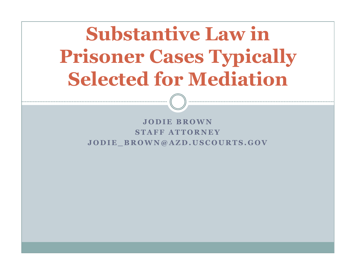# Substantive Law in Prisoner Cases Typically Selected for Mediation

JODIE BROWN STAFF ATTORNEY JODIE BROWN@AZD.USCOURTS.GOV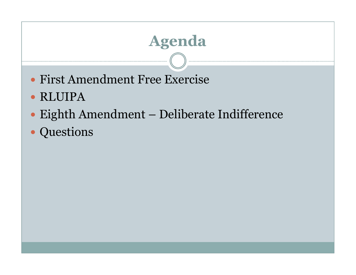# Agenda

- First Amendment Free Exercise
- RLUIPA
- Eighth Amendment Deliberate Indifference
- Questions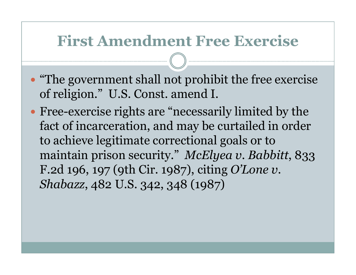- "The government shall not prohibit the free exercise of religion." U.S. Const. amend I.
- Free-exercise rights are "necessarily limited by the fact of incarceration, and may be curtailed in order to achieve legitimate correctional goals or to maintain prison security." McElyea v. Babbitt, 833 F.2d 196, 197 (9th Cir. 1987), citing O'Lone v. Shabazz, 482 U.S. 342, 348 (1987)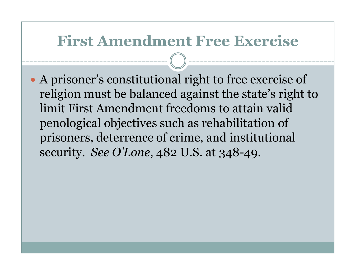A prisoner's constitutional right to free exercise of religion must be balanced against the state's right to limit First Amendment freedoms to attain valid penological objectives such as rehabilitation of prisoners, deterrence of crime, and institutional security. See O'Lone, 482 U.S. at 348-49.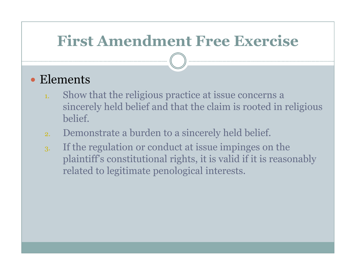#### Elements

- 1. Show that the religious practice at issue concerns a sincerely held belief and that the claim is rooted in religious belief.
- 2.Demonstrate a burden to a sincerely held belief.
- 3. If the regulation or conduct at issue impinges on the plaintiff's constitutional rights, it is valid if it is reasonably related to legitimate penological interests.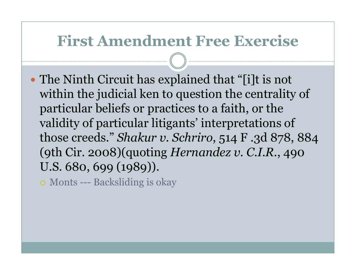The Ninth Circuit has explained that "[i]t is not within the judicial ken to question the centrality of particular beliefs or practices to a faith, or the validity of particular litigants' interpretations of those creeds." Shakur v. Schriro, 514 F .3d 878, 884 (9th Cir. 2008)(quoting Hernandez v. C.I.R., 490 U.S. 680, 699 (1989)).

Monts --- Backsliding is okay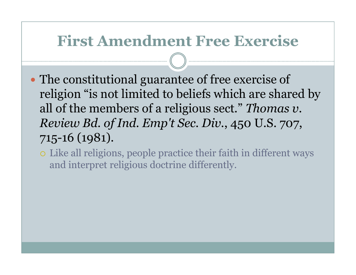- The constitutional guarantee of free exercise of religion "is not limited to beliefs which are shared by all of the members of a religious sect." Thomas v. Review Bd. of Ind. Emp't Sec. Div., 450 U.S. 707, 715-16 (1981).
	- Like all religions, people practice their faith in different ways and interpret religious doctrine differently.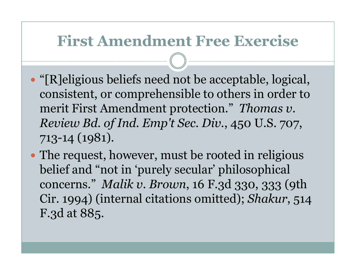- "[R]eligious beliefs need not be acceptable, logical, consistent, or comprehensible to others in order tomerit First Amendment protection." Thomas v. Review Bd. of Ind. Emp't Sec. Div., 450 U.S. 707, 713-14 (1981).
- The request, however, must be rooted in religious belief and "not in 'purely secular' philosophical concerns." Malik v. Brown, 16 F.3d 330, 333 (9th Cir. 1994) (internal citations omitted); Shakur, 514 F.3d at 885.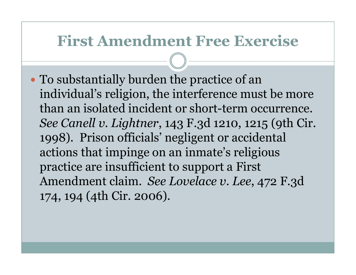To substantially burden the practice of an individual's religion, the interference must be more than an isolated incident or short-term occurrence.See Canell v. Lightner, 143 F.3d 1210, 1215 (9th Cir. 1998). Prison officials' negligent or accidental actions that impinge on an inmate's religious practice are insufficient to support a First Amendment claim. See Lovelace v. Lee, 472 F.3d 174, 194 (4th Cir. 2006).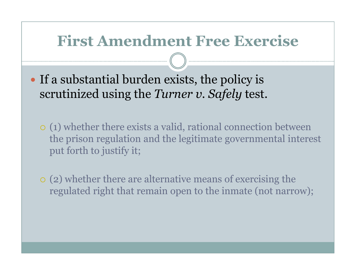- If a substantial burden exists, the policy is scrutinized using the *Turner v. Safely* test.
	- (1) whether there exists a valid, rational connection between the prison regulation and the legitimate governmental interest put forth to justify it;
	- (2) whether there are alternative means of exercising the regulated right that remain open to the inmate (not narrow);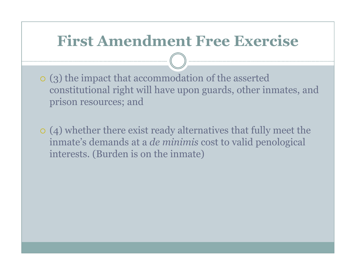- (3) the impact that accommodation of the asserted constitutional right will have upon guards, other inmates, and prison resources; and
- (4) whether there exist ready alternatives that fully meet the inmate's demands at a de minimis cost to valid penological interests. (Burden is on the inmate)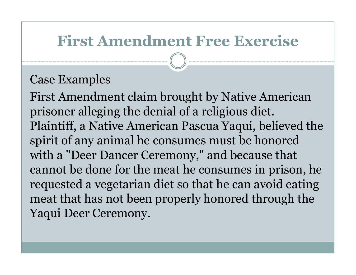#### Case Examples

First Amendment claim brought by Native American prisoner alleging the denial of a religious diet. Plaintiff, a Native American Pascua Yaqui, believed the spirit of any animal he consumes must be honored with a "Deer Dancer Ceremony," and because that cannot be done for the meat he consumes in prison, he requested a vegetarian diet so that he can avoid eating meat that has not been properly honored through theYaqui Deer Ceremony.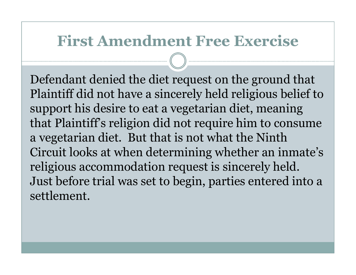Defendant denied the diet request on the ground that Plaintiff did not have a sincerely held religious belief to support his desire to eat a vegetarian diet, meaning that Plaintiff's religion did not require him to consume a vegetarian diet. But that is not what the Ninth Circuit looks at when determining whether an inmate'sreligious accommodation request is sincerely held. Just before trial was set to begin, parties entered into a settlement.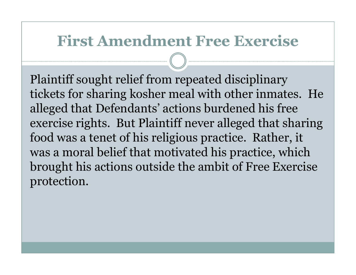Plaintiff sought relief from repeated disciplinary tickets for sharing kosher meal with other inmates. He alleged that Defendants' actions burdened his free exercise rights. But Plaintiff never alleged that sharing food was a tenet of his religious practice. Rather, it was a moral belief that motivated his practice, which brought his actions outside the ambit of Free Exercise protection.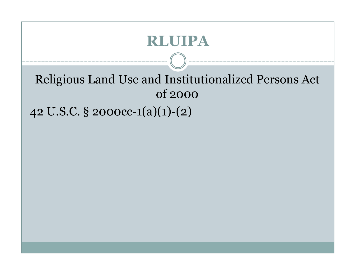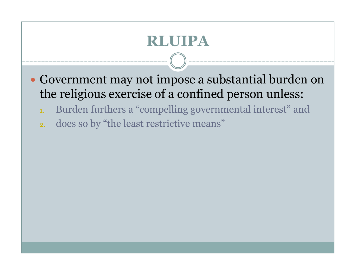- Government may not impose a substantial burden on the religious exercise of a confined person unless:
	- 1.Burden furthers a "compelling governmental interest" and
	- 2.does so by "the least restrictive means"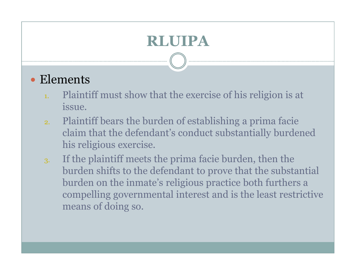# Elements

- 1. Plaintiff must show that the exercise of his religion is at issue.
- 2. Plaintiff bears the burden of establishing a prima facie claim that the defendant's conduct substantially burdened his religious exercise.
- 3. If the plaintiff meets the prima facie burden, then the burden shifts to the defendant to prove that the substantial burden on the inmate's religious practice both furthers a compelling governmental interest and is the least restrictive means of doing so.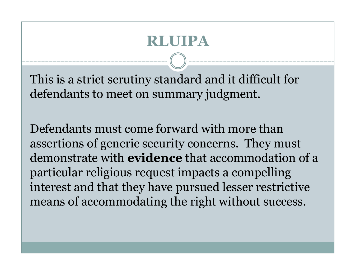This is a strict scrutiny standard and it difficult for defendants to meet on summary judgment.

Defendants must come forward with more than assertions of generic security concerns. They mustdemonstrate with **evidence** that accommodation of a particular religious request impacts a compelling interest and that they have pursued lesser restrictive means of accommodating the right without success.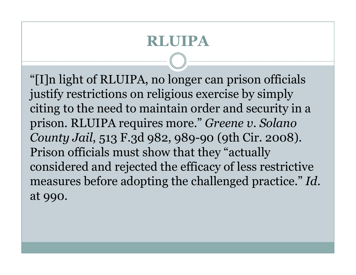"[I]n light of RLUIPA, no longer can prison officials justify restrictions on religious exercise by simply citing to the need to maintain order and security in a prison. RLUIPA requires more." Greene v. Solano County Jail, 513 F.3d 982, 989-90 (9th Cir. 2008). Prison officials must show that they "actually considered and rejected the efficacy of less restrictive measures before adopting the challenged practice." Id.at 990.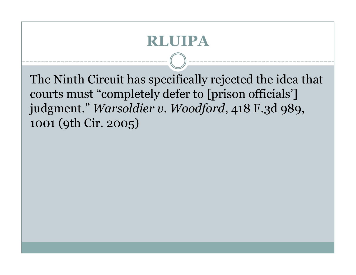The Ninth Circuit has specifically rejected the idea that courts must "completely defer to [prison officials'] judgment." Warsoldier v. Woodford, 418 F.3d 989, 1001 (9th Cir. 2005)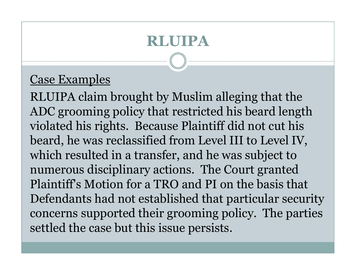#### Case Examples

RLUIPA claim brought by Muslim alleging that the ADC grooming policy that restricted his beard length violated his rights. Because Plaintiff did not cut his beard, he was reclassified from Level III to Level IV, which resulted in a transfer, and he was subject to numerous disciplinary actions. The Court granted Plaintiff's Motion for a TRO and PI on the basis that Defendants had not established that particular security concerns supported their grooming policy. The parties settled the case but this issue persists.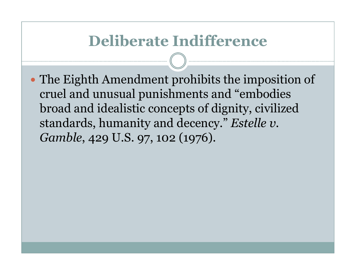The Eighth Amendment prohibits the imposition of cruel and unusual punishments and "embodies broad and idealistic concepts of dignity, civilizedstandards, humanity and decency." Estelle v. Gamble, 429 U.S. 97, 102 (1976).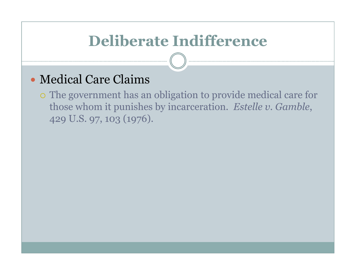#### Medical Care Claims

o The government has an obligation to provide medical care for those whom it punishes by incarceration. Estelle v. Gamble, 429 U.S. 97, 103 (1976).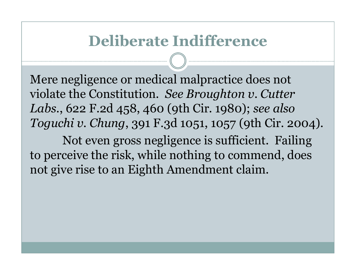Mere negligence or medical malpractice does not violate the Constitution. See Broughton v. Cutter Labs., 622 F.2d 458, 460 (9th Cir. 1980); see also Toguchi v. Chung, 391 F.3d 1051, 1057 (9th Cir. 2004).

Not even gross negligence is sufficient. Failing to perceive the risk, while nothing to commend, doesnot give rise to an Eighth Amendment claim.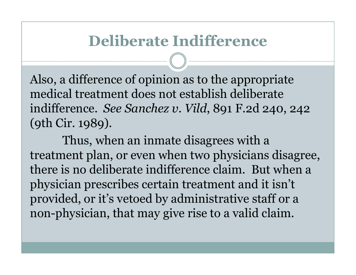Also, a difference of opinion as to the appropriatemedical treatment does not establish deliberate indifference. See Sanchez v. Vild, 891 F.2d 240, 242 (9th Cir. 1989).

Thus, when an inmate disagrees with a treatment plan, or even when two physicians disagree,there is no deliberate indifference claim. But when a physician prescribes certain treatment and it isn'tprovided, or it's vetoed by administrative staff or a non-physician, that may give rise to a valid claim.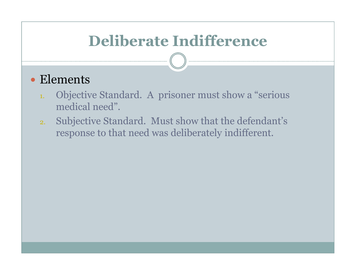#### Elements

- 1. Objective Standard. A prisoner must show a "serious medical need".
- 2. Subjective Standard. Must show that the defendant's response to that need was deliberately indifferent.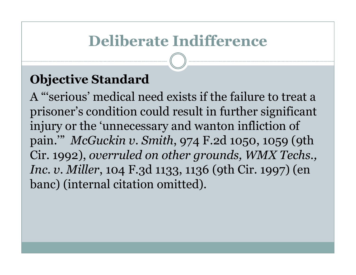#### Objective Standard

 A "'serious' medical need exists if the failure to treat a prisoner's condition could result in further significant injury or the 'unnecessary and wanton infliction of pain.'" McGuckin v. Smith, 974 F.2d 1050, 1059 (9th Cir. 1992), overruled on other grounds, WMX Techs., Inc. v. Miller, 104 F.3d 1133, 1136 (9th Cir. 1997) (en banc) (internal citation omitted).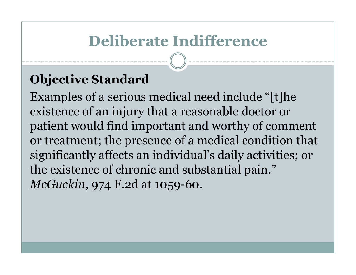#### Objective Standard

 Examples of a serious medical need include "[t]he existence of an injury that a reasonable doctor or patient would find important and worthy of comment or treatment; the presence of a medical condition that significantly affects an individual's daily activities; or the existence of chronic and substantial pain." McGuckin, 974 F.2d at 1059-60.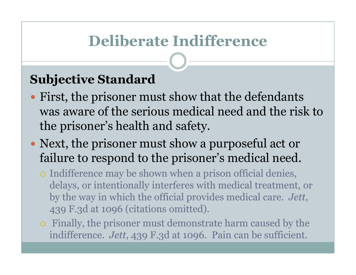#### Subjective Standard

- First, the prisoner must show that the defendants was aware of the serious medical need and the risk tothe prisoner's health and safety.
- Next, the prisoner must show a purposeful act or failure to respond to the prisoner's medical need.
	- Indifference may be shown when a prison official denies, delays, or intentionally interferes with medical treatment, or by the way in which the official provides medical care. Jett, 439 F.3d at 1096 (citations omitted).
	- $\circ$  Finally, the prisoner must demonstrate harm caused by the indifference. Jett, 439 F.3d at 1096. Pain can be sufficient.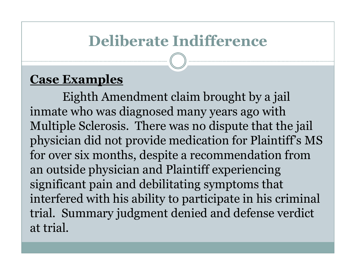#### Case Examples

Eighth Amendment claim brought by a jail inmate who was diagnosed many years ago with Multiple Sclerosis. There was no dispute that the jail physician did not provide medication for Plaintiff's MS for over six months, despite a recommendation from an outside physician and Plaintiff experiencing significant pain and debilitating symptoms that interfered with his ability to participate in his criminal trial. Summary judgment denied and defense verdictat trial.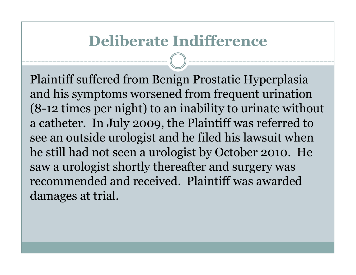Plaintiff suffered from Benign Prostatic Hyperplasia and his symptoms worsened from frequent urination (8-12 times per night) to an inability to urinate without a catheter. In July 2009, the Plaintiff was referred to see an outside urologist and he filed his lawsuit when he still had not seen a urologist by October 2010. He saw a urologist shortly thereafter and surgery was recommended and received. Plaintiff was awarded damages at trial.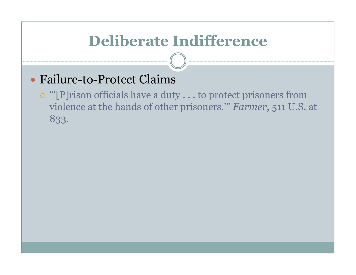## Failure-to-Protect Claims

o "[P]rison officials have a duty . . . to protect prisoners from violence at the hands of other prisoners.'" Farmer, 511 U.S. at 833.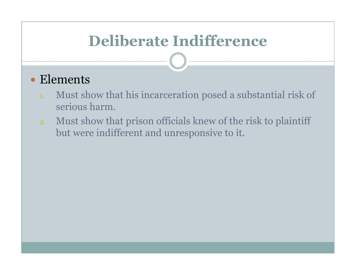#### Elements

- 1. Must show that his incarceration posed a substantial risk of serious harm.
- 2. Must show that prison officials knew of the risk to plaintiff but were indifferent and unresponsive to it.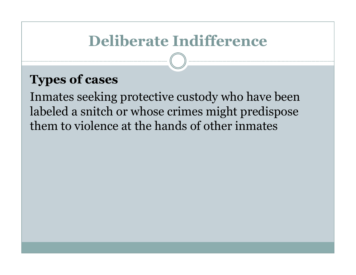#### Types of cases

Inmates seeking protective custody who have been labeled a snitch or whose crimes might predispose them to violence at the hands of other inmates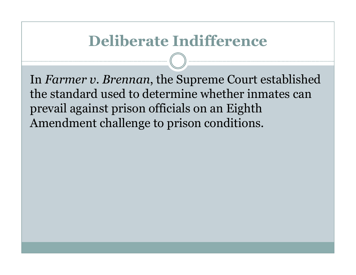In Farmer v. Brennan, the Supreme Court established the standard used to determine whether inmates can prevail against prison officials on an Eighth Amendment challenge to prison conditions.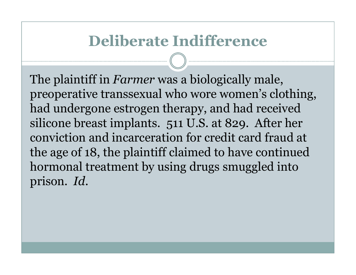The plaintiff in *Farmer* was a biologically male, preoperative transsexual who wore women's clothing, had undergone estrogen therapy, and had received silicone breast implants. 511 U.S. at 829. After her conviction and incarceration for credit card fraud at the age of 18, the plaintiff claimed to have continued hormonal treatment by using drugs smuggled into prison. Id.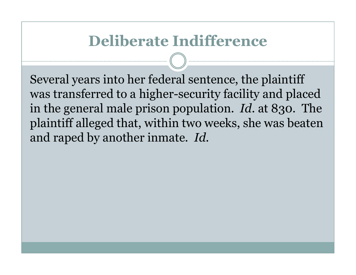Several years into her federal sentence, the plaintiff was transferred to a higher-security facility and placed in the general male prison population.  $\mathit{Id}.$  at 830. The plaintiff alleged that, within two weeks, she was beaten and raped by another inmate. Id.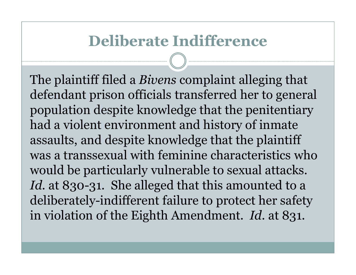The plaintiff filed a Bivens complaint alleging that defendant prison officials transferred her to general population despite knowledge that the penitentiary had a violent environment and history of inmate assaults, and despite knowledge that the plaintiff was a transsexual with feminine characteristics whowould be particularly vulnerable to sexual attacks.Id. at 830-31. She alleged that this amounted to a deliberately-indifferent failure to protect her safety in violation of the Eighth Amendment. *Id*. at 831.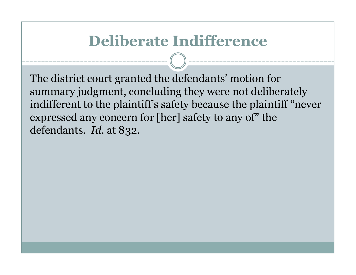The district court granted the defendants' motion for summary judgment, concluding they were not deliberately indifferent to the plaintiff's safety because the plaintiff "never expressed any concern for [her] safety to any of" thedefendants. *Id.* at 832.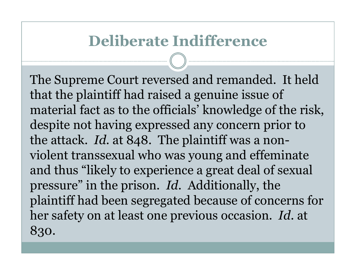The Supreme Court reversed and remanded. It held that the plaintiff had raised a genuine issue of material fact as to the officials' knowledge of the risk, despite not having expressed any concern prior to the attack. *Id*. at 848. The plaintiff was a nonviolent transsexual who was young and effeminate and thus "likely to experience a great deal of sexual pressure" in the prison. *Id*. Additionally, the plaintiff had been segregated because of concerns for her safety on at least one previous occasion. *Id*. at 830.